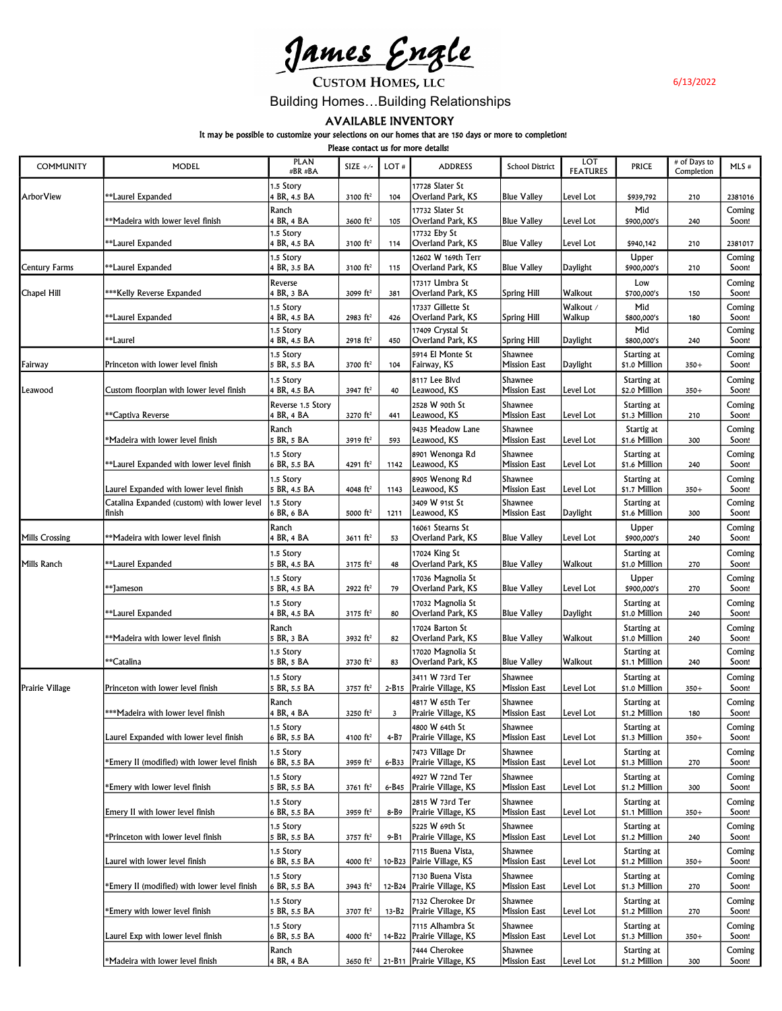<u>James Engle</u>

**CUSTOM HOMES, LLC** 

6/13/2022

## Building Homes…Building Relationships

AVAILABLE INVENTORY

It may be possible to customize your selections on our homes that are 150 days or more to completion!

Please contact us for more details!

| <b>COMMUNITY</b>      | <b>MODEL</b>                                          | <b>PLAN</b><br>#BR #BA          | SIZE $+/-$             | LOT#  | <b>ADDRESS</b>                                 | <b>School District</b>         | LOT<br><b>FEATURES</b> | <b>PRICE</b>                 | # of Days to<br>Completion | $MLS$ #         |
|-----------------------|-------------------------------------------------------|---------------------------------|------------------------|-------|------------------------------------------------|--------------------------------|------------------------|------------------------------|----------------------------|-----------------|
| ArborView             | <b>Expanded</b> Expanded                              | 1.5 Story<br>4 BR, 4.5 BA       | 3100 $ft^2$            | 104   | 17728 Slater St<br>Overland Park, KS           | <b>Blue Valley</b>             | Level Lot              | \$939,792                    | 210                        | 2381016         |
|                       | **Madeira with lower level finish                     | Ranch<br>4 BR, 4 BA             | 3600 ft <sup>2</sup>   | 105   | 17732 Slater St<br>Overland Park, KS           | <b>Blue Valley</b>             | Level Lot              | Mid<br>\$900,000's           | 240                        | Coming<br>Soon! |
|                       | **Laurel Expanded                                     | 1.5 Story<br>4 BR, 4.5 BA       | 3100 $ft^2$            | 114   | 17732 Eby St<br>Overland Park, KS              | <b>Blue Valley</b>             | Level Lot              | \$940,142                    | 210                        | 2381017         |
| <b>Century Farms</b>  | **Laurel Expanded                                     | 1.5 Story<br>4 BR, 3.5 BA       | 3100 $ft^2$            | 115   | 12602 W 169th Terr<br>Overland Park, KS        | <b>Blue Valley</b>             | Daylight               | Upper<br>\$900,000's         | 210                        | Coming<br>Soon! |
| Chapel Hill           | ***Kelly Reverse Expanded                             | Reverse<br>4 BR, 3 BA           | 3099 ft <sup>2</sup>   | 381   | 17317 Umbra St<br>Overland Park, KS            | <b>Spring Hill</b>             | Walkout                | Low<br>\$700,000's           | 150                        | Coming<br>Soon! |
|                       | **Laurel Expanded                                     | 1.5 Story<br>4 BR, 4.5 BA       | 2983 ft <sup>2</sup>   | 426   | 17337 Gillette St<br>Overland Park, KS         | <b>Spring Hill</b>             | Walkout /<br>Walkup    | Mid<br>\$800,000's           | 180                        | Coming<br>Soon! |
|                       | **Laurel                                              | 1.5 Story<br>4 BR, 4.5 BA       | $2918$ ft <sup>2</sup> | 450   | 17409 Crystal St<br>Overland Park, KS          | <b>Spring Hill</b>             | Daylight               | Mid<br>\$800,000's           | 240                        | Coming<br>Soon! |
| Fairway               | Princeton with lower level finish                     | 1.5 Story<br>5 BR, 5.5 BA       | 3700 ft <sup>2</sup>   | 104   | 5914 El Monte St<br>Fairway, KS                | Shawnee<br>Mission East        | Daylight               | Starting at<br>\$1.0 Million | $350+$                     | Coming<br>Soon! |
| Leawood               | Custom floorplan with lower level finish              | 1.5 Story<br>4 BR, 4.5 BA       | 3947 ft <sup>2</sup>   | 40    | 8117 Lee Blvd<br>Leawood, KS                   | Shawnee<br><b>Mission East</b> | Level Lot              | Starting at<br>\$2.0 Million | $350+$                     | Coming<br>Soon! |
|                       | **Captiva Reverse                                     | Reverse 1.5 Story<br>4 BR, 4 BA | 3270 ft <sup>2</sup>   | 441   | 2528 W 90th St<br>Leawood, KS                  | Shawnee<br><b>Mission East</b> | Level Lot              | Starting at<br>\$1.3 Million | 210                        | Coming<br>Soon! |
|                       | *Madeira with lower level finish                      | Ranch<br>5 BR, 5 BA             | 3919 $ft^2$            | 593   | 9435 Meadow Lane<br>Leawood, KS                | Shawnee<br><b>Mission East</b> | Level Lot              | Startig at<br>\$1.6 Million  | 300                        | Coming<br>Soon! |
|                       | *Laurel Expanded with lower level finish              | 1.5 Story<br>6 BR, 5.5 BA       | 4291 $ft^2$            | 1142  | 8901 Wenonga Rd<br>Leawood, KS                 | Shawnee<br><b>Mission East</b> | Level Lot              | Starting at<br>\$1.6 Million | 240                        | Coming<br>Soon! |
|                       | Laurel Expanded with lower level finish               | 1.5 Story<br>5 BR, 4.5 BA       | 4048 ft <sup>2</sup>   | 1143  | 8905 Wenong Rd<br>Leawood, KS                  | Shawnee<br><b>Mission East</b> | Level Lot              | Starting at<br>\$1.7 Million | $350+$                     | Coming<br>Soon! |
|                       | Catalina Expanded (custom) with lower level<br>finish | 1.5 Story<br>6 BR, 6 BA         | 5000 ft <sup>2</sup>   | 1211  | 3409 W 91st St<br>Leawood, KS                  | Shawnee<br><b>Mission East</b> | Daylight               | Starting at<br>\$1.6 Million | 300                        | Coming<br>Soon! |
| <b>Mills Crossing</b> | **Madeira with lower level finish                     | Ranch<br>4 BR, 4 BA             | $3611 \text{ ft}^2$    | 53    | 16061 Stearns St<br>Overland Park, KS          | <b>Blue Valley</b>             | Level Lot              | Upper<br>\$900,000's         | 240                        | Coming<br>Soon! |
| Mills Ranch           | **Laurel Expanded                                     | 1.5 Story<br>5 BR, 4.5 BA       | $3175$ ft <sup>2</sup> | 48    | 17024 King St<br>Overland Park, KS             | <b>Blue Valley</b>             | Walkout                | Starting at<br>\$1.0 Million | 270                        | Coming<br>Soon! |
|                       | **Jameson                                             | 1.5 Story<br>5 BR, 4.5 BA       | 2922 ft <sup>2</sup>   | 79    | 17036 Magnolia St<br>Overland Park, KS         | <b>Blue Valley</b>             | Level Lot              | Upper<br>\$900,000's         | 270                        | Coming<br>Soon! |
|                       | **Laurel Expanded                                     | 1.5 Story<br>4 BR, 4.5 BA       | $3175$ ft <sup>2</sup> | 80    | 17032 Magnolia St<br>Overland Park, KS         | <b>Blue Valley</b>             | Daylight               | Starting at<br>\$1.0 Million | 240                        | Coming<br>Soon! |
|                       | **Madeira with lower level finish                     | Ranch<br>5 BR, 3 BA             | 3932 ft <sup>2</sup>   | 82    | 17024 Barton St<br>Overland Park, KS           | <b>Blue Valley</b>             | Walkout                | Starting at<br>\$1.0 Million | 240                        | Coming<br>Soon! |
|                       | **Catalina                                            | 1.5 Story<br>5 BR, 5 BA         | 3730 ft <sup>2</sup>   | 83    | 17020 Magnolia St<br>Overland Park, KS         | <b>Blue Valley</b>             | Walkout                | Starting at<br>\$1.1 Million | 240                        | Coming<br>Soon! |
| Prairie Village       | Princeton with lower level finish                     | 1.5 Story<br>5 BR, 5.5 BA       | $3757 \text{ ft}^2$    |       | 3411 W 73rd Ter<br>2-B15 Prairie Village, KS   | Shawnee<br><b>Mission East</b> | Level Lot              | Starting at<br>\$1.0 Million | $350+$                     | Coming<br>Soon! |
|                       | ***Madeira with lower level finish                    | Ranch<br>4 BR, 4 BA             | 3250 ft <sup>2</sup>   | 3     | 4817 W 65th Ter<br>Prairie Village, KS         | Shawnee<br><b>Mission East</b> | Level Lot              | Starting at<br>\$1.2 Million | 180                        | Coming<br>Soon! |
|                       | Laurel Expanded with lower level finish               | 1.5 Story<br>6 BR, 5.5 BA       | 4100 ft <sup>2</sup>   | 4-B7  | 4800 W 64th St<br>Prairie Village, KS          | Shawnee<br><b>Mission East</b> | Level Lot              | Starting at<br>\$1.3 Million | $350+$                     | Coming<br>Soon! |
|                       | *Emery II (modified) with lower level finish          | 1.5 Story<br>6 BR, 5.5 BA       | 3959 ft <sup>2</sup>   | 6-B33 | 7473 Village Dr<br>Prairie Village, KS         | Shawnee<br><b>Mission East</b> | Level Lot              | Starting at<br>\$1.3 Million | 270                        | Coming<br>Soon! |
|                       | *Emery with lower level finish                        | 1.5 Story<br>5 BR, 5.5 BA       | $3761 \text{ ft}^2$    | 6-B45 | 4927 W 72nd Ter<br>Prairie Village, KS         | Shawnee<br>Mission East        | Level Lot              | Starting at<br>\$1.2 Million | 300                        | Coming<br>Soon! |
|                       | Emery II with lower level finish                      | 1.5 Story<br>6 BR, 5.5 BA       | 3959 ft <sup>2</sup>   | 8-B9  | 2815 W 73rd Ter<br>Prairie Village, KS         | Shawnee<br>Mission East        | Level Lot              | Starting at<br>\$1.1 Million | $350+$                     | Coming<br>Soon! |
|                       | *Princeton with lower level finish                    | 1.5 Story<br>5 BR, 5.5 BA       | $3757 \text{ ft}^2$    | 9-B1  | 5225 W 69th St<br>Prairie Village, KS          | Shawnee<br><b>Mission East</b> | Level Lot              | Starting at<br>\$1.2 Million | 240                        | Coming<br>Soon! |
|                       | Laurel with lower level finish                        | 1.5 Story<br>6 BR, 5.5 BA       | 4000 ft <sup>2</sup>   |       | 7115 Buena Vista,<br>10-B23 Pairie Village, KS | Shawnee<br><b>Mission East</b> | Level Lot              | Starting at<br>\$1.2 Million | $350+$                     | Coming<br>Soon! |
|                       | *Emery II (modified) with lower level finish          | 1.5 Story<br>6 BR, 5.5 BA       | 3943 $ft2$             |       | 7130 Buena Vista<br>12-B24 Prairie Village, KS | Shawnee<br><b>Mission East</b> | Level Lot              | Starting at<br>\$1.3 Million | 270                        | Coming<br>Soon! |
|                       | *Emery with lower level finish                        | 1.5 Story<br>5 BR, 5.5 BA       | 3707 ft <sup>2</sup>   |       | 7132 Cherokee Dr<br>13-B2 Prairie Village, KS  | Shawnee<br>Mission East        | Level Lot              | Starting at<br>\$1.2 Million | 270                        | Coming<br>Soon! |
|                       | Laurel Exp with lower level finish                    | 1.5 Story<br>6 BR, 5.5 BA       | 4000 ft <sup>2</sup>   |       | 7115 Alhambra St<br>14-B22 Prairie Village, KS | Shawnee<br><b>Mission East</b> | Level Lot              | Starting at<br>\$1.3 Million | $350+$                     | Coming<br>Soon! |
|                       | *Madeira with lower level finish                      | Ranch<br>4 BR, 4 BA             | 3650 $ft^2$            |       | 7444 Cherokee<br>21-B11 Prairie Village, KS    | Shawnee<br>Mission East        | Level Lot              | Starting at<br>\$1.2 Million | 300                        | Coming<br>Soon! |
|                       |                                                       |                                 |                        |       |                                                |                                |                        |                              |                            |                 |